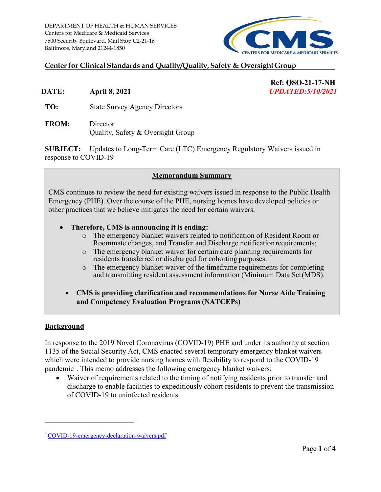

# **Centerfor Clinical Standards and Quality/Quality, Safety & OversightGroup**

**DATE: April 8, 2021** *UPDATED:5/10/2021* 

**Ref: QSO-21-17-NH** 

- 
- **TO:** State Survey Agency Directors
- **FROM:** Director Quality, Safety & Oversight Group

 response to COVID-19 **SUBJECT:** Updates to Long-Term Care (LTC) Emergency Regulatory Waivers issued in

#### **Memorandum Summary**

CMS continues to review the need for existing waivers issued in response to the Public Health Emergency (PHE). Over the course of the PHE, nursing homes have developed policies or other practices that we believe mitigates the need for certain waivers.

- **Therefore, CMS is announcing it is ending:** 
	- o The emergency blanket waivers related to notification of Resident Room or Roommate changes, and Transfer and Discharge notification requirements;
	- residents transferred or discharged for cohorting purposes. o The emergency blanket waiver for certain care planning requirements for
	- o The emergency blanket waiver of the timeframe requirements for completing and transmitting resident assessment information (Minimum Data Set(MDS).
	- **CMS is providing clarification and recommendations for Nurse Aide Training and Competency Evaluation Programs (NATCEPs)**

#### **Background**

 In response to the 2019 Novel Coronavirus (COVID-19) PHE and under its authority at section 1135 of the Social Security Act, CMS enacted several temporary emergency blanket waivers which were intended to provide nursing homes with flexibility to respond to the COVID-19 pandemic<sup>1</sup>. This memo addresses the following emergency blanket waivers:

 of COVID-19 to uninfected residents. • Waiver of requirements related to the timing of notifying residents prior to transfer and discharge to enable facilities to expeditiously cohort residents to prevent the transmission

<span id="page-0-0"></span><sup>&</sup>lt;sup>1</sup> COVID-19-emergency-declaration-waivers.pdf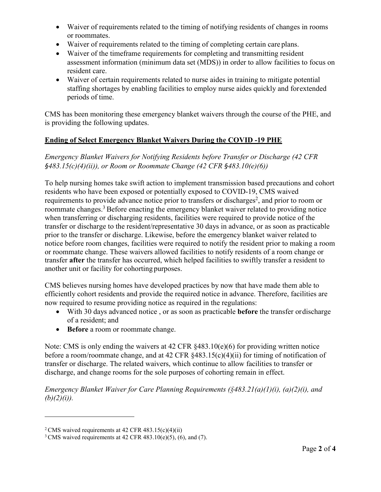- • Waiver of requirements related to the timing of notifying residents of changes in rooms or roommates.
- Waiver of requirements related to the timing of completing certain care plans.
- resident care. • Waiver of the timeframe requirements for completing and transmitting resident assessment information (minimum data set (MDS)) in order to allow facilities to focus on
- periods of time. • Waiver of certain requirements related to nurse aides in training to mitigate potential staffing shortages by enabling facilities to employ nurse aides quickly and forextended

CMS has been monitoring these emergency blanket waivers through the course of the PHE, and is providing the following updates.

## **Ending of Select Emergency Blanket Waivers During the COVID -19 PHE**

 *Emergency Blanket Waivers for Notifying Residents before Transfer or Discharge (42 CFR §483.15(c)(4)(ii)), or Room or Roommate Change (42 CFR §483.10(e)(6))* 

 notice before room changes, facilities were required to notify the resident prior to making a room transfer **after** the transfer has occurred, which helped facilities to swiftly transfer a resident to another unit or facility for cohorting purposes. To help nursing homes take swift action to implement transmission based precautions and cohort residents who have been exposed or potentially exposed to COVID-19, CMS waived requirements to provide advance notice prior to transfers or discharges<sup>2</sup>[,](#page-1-0) and prior to room or roommate changes.<sup>3</sup> Before enacting the emergency blanket waiver related to providing notice when transferring or discharging residents, facilities were required to provide notice of the transfer or discharge to the resident/representative 30 days in advance, or as soon as practicable prior to the transfer or discharge. Likewise, before the emergency blanket waiver related to or roommate change. These waivers allowed facilities to notify residents of a room change or

CMS believes nursing homes have developed practices by now that have made them able to efficiently cohort residents and provide the required notice in advance. Therefore, facilities are now required to resume providing notice as required in the regulations:

- of a resident; and • With 30 days advanced notice , or as soon as practicable **before** the transfer ordischarge
- **Before** a room or roommate change.

 transfer or discharge. The related waivers, which continue to allow facilities to transfer or Note: CMS is only ending the waivers at 42 CFR §483.10(e)(6) for providing written notice before a room/roommate change, and at 42 CFR §483.15(c)(4)(ii) for timing of notification of discharge, and change rooms for the sole purposes of cohorting remain in effect.

*Emergency Blanket Waiver for Care Planning Requirements (§483.21(a)(1)(i), (a)(2)(i), and*   $(b)(2)(i)).$ 

<span id="page-1-1"></span><span id="page-1-0"></span><sup>&</sup>lt;sup>2</sup> CMS waived requirements at 42 CFR 483.15(c)(4)(ii) <sup>3</sup> CMS waived requirements at 42 CFR 483.10(e)(5), (6), and (7).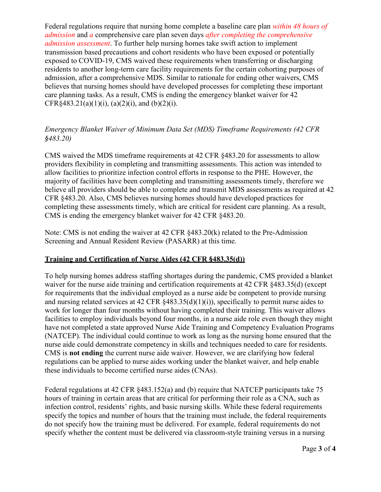Federal regulations require that nursing home complete a baseline care plan *within 48 hours of admission* and *a* comprehensive care plan seven days *after completing the comprehensive admission assessment*. To further help nursing homes take swift action to implement transmission based precautions and cohort residents who have been exposed or potentially exposed to COVID-19, CMS waived these requirements when transferring or discharging residents to another long-term care facility requirements for the certain cohorting purposes of admission, after a comprehensive MDS. Similar to rationale for ending other waivers, CMS believes that nursing homes should have developed processes for completing these important care planning tasks. As a result, CMS is ending the emergency blanket waiver for 42 CFR§483.21(a)(1)(i), (a)(2)(i), and (b)(2)(i).

# *Emergency Blanket Waiver of Minimum Data Set (MDS) Timeframe Requirements (42 CFR §483.20)*

 majority of facilities have been completing and transmitting assessments timely, therefore we CFR §483.20. Also, CMS believes nursing homes should have developed practices for completing these assessments timely, which are critical for resident care planning. As a result, CMS waived the MDS timeframe requirements at 42 CFR §483.20 for assessments to allow providers flexibility in completing and transmitting assessments. This action was intended to allow facilities to prioritize infection control efforts in response to the PHE. However, the believe all providers should be able to complete and transmit MDS assessments as required at 42 CMS is ending the emergency blanket waiver for 42 CFR §483.20.

Note: CMS is not ending the waiver at 42 CFR §483.20(k) related to the Pre-Admission Screening and Annual Resident Review (PASARR) at this time.

## **Training and Certification of Nurse Aides (42 CFR §483.35(d))**

 CMS is **not ending** the current nurse aide waiver. However, we are clarifying how federal To help nursing homes address staffing shortages during the pandemic, CMS provided a blanket waiver for the nurse aide training and certification requirements at 42 CFR  $§$ 483.35(d) (except for requirements that the individual employed as a nurse aide be competent to provide nursing and nursing related services at 42 CFR §483.35(d)(1)(i)), specifically to permit nurse aides to work for longer than four months without having completed their training. This waiver allows facilities to employ individuals beyond four months, in a nurse aide role even though they might have not completed a state approved Nurse Aide Training and Competency Evaluation Programs (NATCEP). The individual could continue to work as long as the nursing home ensured that the nurse aide could demonstrate competency in skills and techniques needed to care for residents. regulations can be applied to nurse aides working under the blanket waiver, and help enable these individuals to become certified nurse aides (CNAs).

Federal regulations at 42 CFR §483.152(a) and (b) require that NATCEP participants take 75 hours of training in certain areas that are critical for performing their role as a CNA, such as infection control, residents' rights, and basic nursing skills. While these federal requirements specify the topics and number of hours that the training must include, the federal requirements do not specify how the training must be delivered. For example, federal requirements do not specify whether the content must be delivered via classroom-style training versus in a nursing